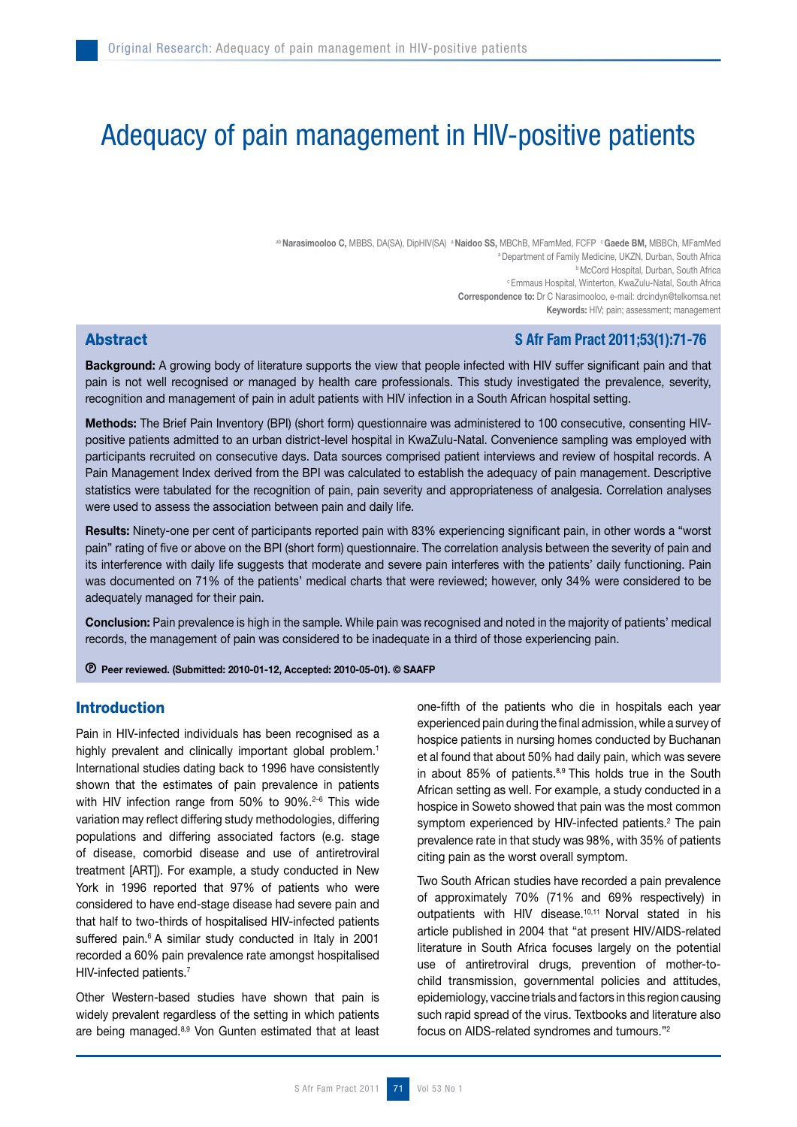# Adequacy of pain management in HIV-positive patients

ab Narasimooloo C, MBBS, DA(SA), DipHIV(SA) a Naidoo SS, MBChB, MFamMed, FCFP a Gaede BM, MBBCh, MFamMed a Department of Family Medicine, UKZN, Durban, South Africa **b McCord Hospital, Durban, South Africa** c Emmaus Hospital, Winterton, KwaZulu-Natal, South Africa Correspondence to: Dr C Narasimooloo, e-mail: drcindyn@telkomsa.net Keywords: HIV; pain; assessment; management

# Abstract **Section Abstract Section Abstract Section Abstract Section Abstract** 2011;53(1):71-76

Background: A growing body of literature supports the view that people infected with HIV suffer significant pain and that pain is not well recognised or managed by health care professionals. This study investigated the prevalence, severity, recognition and management of pain in adult patients with HIV infection in a South African hospital setting.

Methods: The Brief Pain Inventory (BPI) (short form) questionnaire was administered to 100 consecutive, consenting HIVpositive patients admitted to an urban district-level hospital in KwaZulu-Natal. Convenience sampling was employed with participants recruited on consecutive days. Data sources comprised patient interviews and review of hospital records. A Pain Management Index derived from the BPI was calculated to establish the adequacy of pain management. Descriptive statistics were tabulated for the recognition of pain, pain severity and appropriateness of analgesia. Correlation analyses were used to assess the association between pain and daily life.

Results: Ninety-one per cent of participants reported pain with 83% experiencing significant pain, in other words a "worst pain" rating of five or above on the BPI (short form) questionnaire. The correlation analysis between the severity of pain and its interference with daily life suggests that moderate and severe pain interferes with the patients' daily functioning. Pain was documented on 71% of the patients' medical charts that were reviewed; however, only 34% were considered to be adequately managed for their pain.

Conclusion: Pain prevalence is high in the sample. While pain was recognised and noted in the majority of patients' medical records, the management of pain was considered to be inadequate in a third of those experiencing pain.

Peer reviewed. (Submitted: 2010-01-12, Accepted: 2010-05-01). © SAAFP

# Introduction

Pain in HIV-infected individuals has been recognised as a highly prevalent and clinically important global problem.<sup>1</sup> International studies dating back to 1996 have consistently shown that the estimates of pain prevalence in patients with HIV infection range from 50% to 90%.<sup>2-6</sup> This wide variation may reflect differing study methodologies, differing populations and differing associated factors (e.g. stage of disease, comorbid disease and use of antiretroviral treatment [ART]). For example, a study conducted in New York in 1996 reported that 97% of patients who were considered to have end-stage disease had severe pain and that half to two-thirds of hospitalised HIV-infected patients suffered pain.<sup>6</sup> A similar study conducted in Italy in 2001 recorded a 60% pain prevalence rate amongst hospitalised HIV-infected patients.<sup>7</sup>

Other Western-based studies have shown that pain is widely prevalent regardless of the setting in which patients are being managed.8,9 Von Gunten estimated that at least one-fifth of the patients who die in hospitals each year experienced pain during the final admission, while a survey of hospice patients in nursing homes conducted by Buchanan et al found that about 50% had daily pain, which was severe in about 85% of patients.<sup>8,9</sup> This holds true in the South African setting as well. For example, a study conducted in a hospice in Soweto showed that pain was the most common symptom experienced by HIV-infected patients.<sup>2</sup> The pain prevalence rate in that study was 98%, with 35% of patients citing pain as the worst overall symptom.

Two South African studies have recorded a pain prevalence of approximately 70% (71% and 69% respectively) in outpatients with HIV disease.<sup>10,11</sup> Norval stated in his article published in 2004 that "at present HIV/AIDS-related literature in South Africa focuses largely on the potential use of antiretroviral drugs, prevention of mother-tochild transmission, governmental policies and attitudes, epidemiology, vaccine trials and factors in this region causing such rapid spread of the virus. Textbooks and literature also focus on AIDS-related syndromes and tumours."2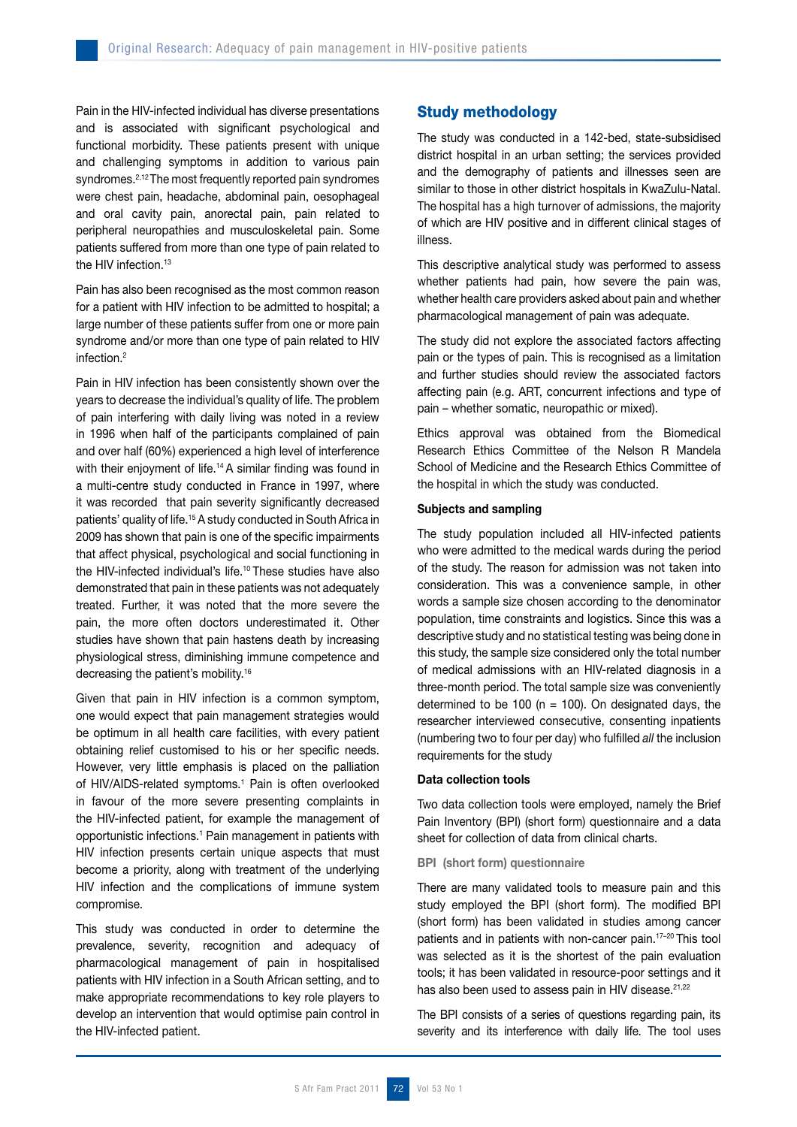Pain in the HIV-infected individual has diverse presentations and is associated with significant psychological and functional morbidity. These patients present with unique and challenging symptoms in addition to various pain syndromes.<sup>2,12</sup> The most frequently reported pain syndromes were chest pain, headache, abdominal pain, oesophageal and oral cavity pain, anorectal pain, pain related to peripheral neuropathies and musculoskeletal pain. Some patients suffered from more than one type of pain related to the HIV infection.<sup>13</sup>

Pain has also been recognised as the most common reason for a patient with HIV infection to be admitted to hospital; a large number of these patients suffer from one or more pain syndrome and/or more than one type of pain related to HIV infection.2

Pain in HIV infection has been consistently shown over the years to decrease the individual's quality of life. The problem of pain interfering with daily living was noted in a review in 1996 when half of the participants complained of pain and over half (60%) experienced a high level of interference with their enjoyment of life.<sup>14</sup> A similar finding was found in a multi-centre study conducted in France in 1997, where it was recorded that pain severity significantly decreased patients' quality of life.15 A study conducted in South Africa in 2009 has shown that pain is one of the specific impairments that affect physical, psychological and social functioning in the HIV-infected individual's life.10 These studies have also demonstrated that pain in these patients was not adequately treated. Further, it was noted that the more severe the pain, the more often doctors underestimated it. Other studies have shown that pain hastens death by increasing physiological stress, diminishing immune competence and decreasing the patient's mobility.<sup>16</sup>

Given that pain in HIV infection is a common symptom, one would expect that pain management strategies would be optimum in all health care facilities, with every patient obtaining relief customised to his or her specific needs. However, very little emphasis is placed on the palliation of HIV/AIDS-related symptoms.<sup>1</sup> Pain is often overlooked in favour of the more severe presenting complaints in the HIV-infected patient, for example the management of opportunistic infections.<sup>1</sup> Pain management in patients with HIV infection presents certain unique aspects that must become a priority, along with treatment of the underlying HIV infection and the complications of immune system compromise.

This study was conducted in order to determine the prevalence, severity, recognition and adequacy of pharmacological management of pain in hospitalised patients with HIV infection in a South African setting, and to make appropriate recommendations to key role players to develop an intervention that would optimise pain control in the HIV-infected patient.

# Study methodology

The study was conducted in a 142-bed, state-subsidised district hospital in an urban setting; the services provided and the demography of patients and illnesses seen are similar to those in other district hospitals in KwaZulu-Natal. The hospital has a high turnover of admissions, the majority of which are HIV positive and in different clinical stages of illness.

This descriptive analytical study was performed to assess whether patients had pain, how severe the pain was, whether health care providers asked about pain and whether pharmacological management of pain was adequate.

The study did not explore the associated factors affecting pain or the types of pain. This is recognised as a limitation and further studies should review the associated factors affecting pain (e.g. ART, concurrent infections and type of pain – whether somatic, neuropathic or mixed).

Ethics approval was obtained from the Biomedical Research Ethics Committee of the Nelson R Mandela School of Medicine and the Research Ethics Committee of the hospital in which the study was conducted.

### Subjects and sampling

The study population included all HIV-infected patients who were admitted to the medical wards during the period of the study. The reason for admission was not taken into consideration. This was a convenience sample, in other words a sample size chosen according to the denominator population, time constraints and logistics. Since this was a descriptive study and no statistical testing was being done in this study, the sample size considered only the total number of medical admissions with an HIV-related diagnosis in a three-month period. The total sample size was conveniently determined to be 100 ( $n = 100$ ). On designated days, the researcher interviewed consecutive, consenting inpatients (numbering two to four per day) who fulfilled *all* the inclusion requirements for the study

#### Data collection tools

Two data collection tools were employed, namely the Brief Pain Inventory (BPI) (short form) questionnaire and a data sheet for collection of data from clinical charts.

#### BPI (short form) questionnaire

There are many validated tools to measure pain and this study employed the BPI (short form). The modified BPI (short form) has been validated in studies among cancer patients and in patients with non-cancer pain.17–20 This tool was selected as it is the shortest of the pain evaluation tools; it has been validated in resource-poor settings and it has also been used to assess pain in HIV disease.<sup>21,22</sup>

The BPI consists of a series of questions regarding pain, its severity and its interference with daily life. The tool uses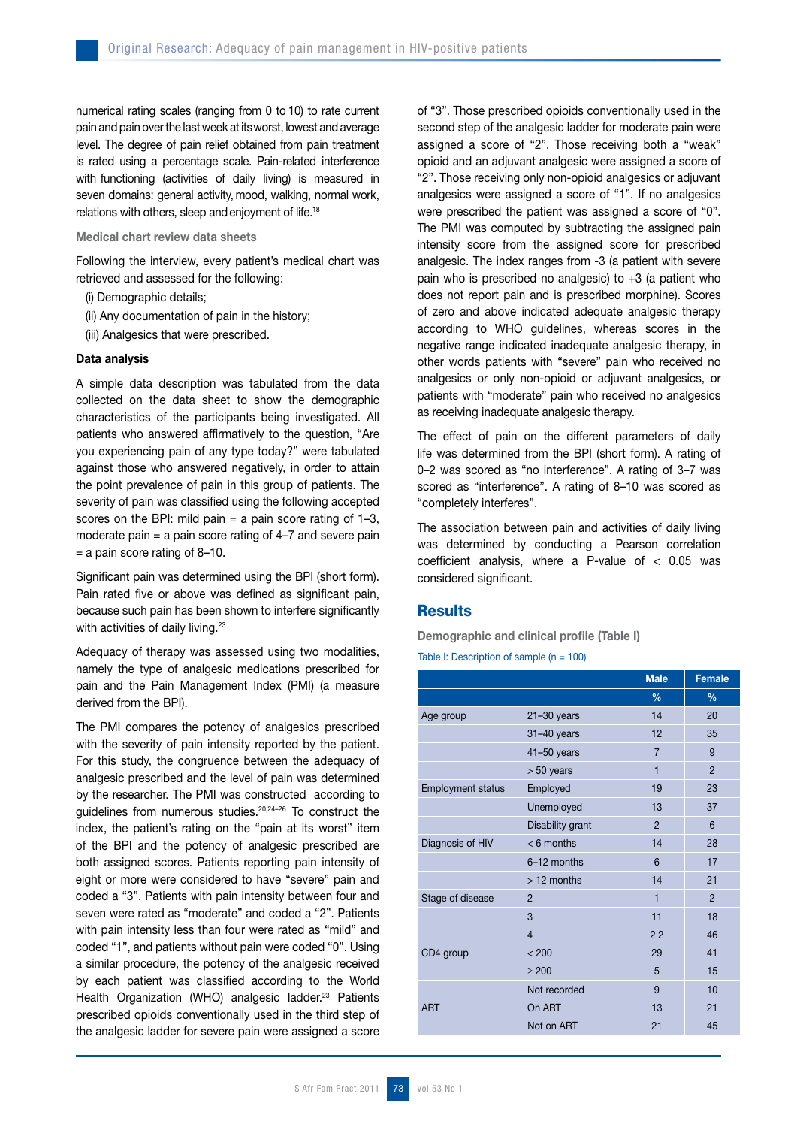numerical rating scales (ranging from 0 to 10) to rate current pain and pain over the last week at itsworst, lowest and average level. The degree of pain relief obtained from pain treatment is rated using a percentage scale. Pain-related interference with functioning (activities of daily living) is measured in seven domains: general activity, mood, walking, normal work, relations with others, sleep and enjoyment of life.<sup>18</sup>

#### Medical chart review data sheets

Following the interview, every patient's medical chart was retrieved and assessed for the following:

- (i) Demographic details;
- (ii) Any documentation of pain in the history;
- (iii) Analgesics that were prescribed.

#### Data analysis

A simple data description was tabulated from the data collected on the data sheet to show the demographic characteristics of the participants being investigated. All patients who answered affirmatively to the question, "Are you experiencing pain of any type today?" were tabulated against those who answered negatively, in order to attain the point prevalence of pain in this group of patients. The severity of pain was classified using the following accepted scores on the BPI: mild pain  $=$  a pain score rating of  $1-3$ , moderate pain  $=$  a pain score rating of  $4-7$  and severe pain  $=$  a pain score rating of 8–10.

Significant pain was determined using the BPI (short form). Pain rated five or above was defined as significant pain, because such pain has been shown to interfere significantly with activities of daily living.<sup>23</sup>

Adequacy of therapy was assessed using two modalities, namely the type of analgesic medications prescribed for pain and the Pain Management Index (PMI) (a measure derived from the BPI).

The PMI compares the potency of analgesics prescribed with the severity of pain intensity reported by the patient. For this study, the congruence between the adequacy of analgesic prescribed and the level of pain was determined by the researcher. The PMI was constructed according to guidelines from numerous studies.<sup>20,24-26</sup> To construct the index, the patient's rating on the "pain at its worst" item of the BPI and the potency of analgesic prescribed are both assigned scores. Patients reporting pain intensity of eight or more were considered to have "severe" pain and coded a "3". Patients with pain intensity between four and seven were rated as "moderate" and coded a "2". Patients with pain intensity less than four were rated as "mild" and coded "1", and patients without pain were coded "0". Using a similar procedure, the potency of the analgesic received by each patient was classified according to the World Health Organization (WHO) analgesic ladder.<sup>23</sup> Patients prescribed opioids conventionally used in the third step of the analgesic ladder for severe pain were assigned a score of "3". Those prescribed opioids conventionally used in the second step of the analgesic ladder for moderate pain were assigned a score of "2". Those receiving both a "weak" opioid and an adjuvant analgesic were assigned a score of "2". Those receiving only non-opioid analgesics or adjuvant analgesics were assigned a score of "1". If no analgesics were prescribed the patient was assigned a score of "0". The PMI was computed by subtracting the assigned pain intensity score from the assigned score for prescribed analgesic. The index ranges from -3 (a patient with severe pain who is prescribed no analgesic) to  $+3$  (a patient who does not report pain and is prescribed morphine). Scores of zero and above indicated adequate analgesic therapy according to WHO guidelines, whereas scores in the negative range indicated inadequate analgesic therapy, in other words patients with "severe" pain who received no analgesics or only non-opioid or adjuvant analgesics, or patients with "moderate" pain who received no analgesics as receiving inadequate analgesic therapy.

The effect of pain on the different parameters of daily life was determined from the BPI (short form). A rating of 0–2 was scored as "no interference". A rating of 3–7 was scored as "interference". A rating of 8–10 was scored as "completely interferes".

The association between pain and activities of daily living was determined by conducting a Pearson correlation coefficient analysis, where a P-value of < 0.05 was considered significant.

# Results

Demographic and clinical profile (Table I) Table I: Description of sample  $(n = 100)$ 

|                          |                  | <b>Male</b>    | Female         |  |
|--------------------------|------------------|----------------|----------------|--|
|                          |                  | $\frac{9}{6}$  | $\frac{9}{6}$  |  |
| Age group                | $21-30$ years    | 14             | 20             |  |
|                          | $31-40$ years    | 12             | 35             |  |
|                          | 41-50 years      | $\overline{7}$ | 9              |  |
|                          | $> 50$ years     | $\overline{1}$ | $\overline{2}$ |  |
| <b>Employment status</b> | Employed         | 19             | 23             |  |
|                          | Unemployed       | 13             | 37             |  |
|                          | Disability grant | $\overline{2}$ | 6              |  |
| Diagnosis of HIV         | $< 6$ months     | 14             | 28             |  |
|                          | 6-12 months      | 6              | 17             |  |
|                          | $>12$ months     | 14             | 21             |  |
| Stage of disease         | $\overline{2}$   | 1              | $\overline{2}$ |  |
|                          | 3                | 11             | 18             |  |
|                          | $\overline{4}$   | 22             | 46             |  |
| CD4 group                | < 200            | 29             | 41             |  |
|                          | $\geq 200$       | 5              | 15             |  |
|                          | Not recorded     | 9              | 10             |  |
| <b>ART</b>               | On ART           | 13             | 21             |  |
|                          | Not on ART       | 21             | 45             |  |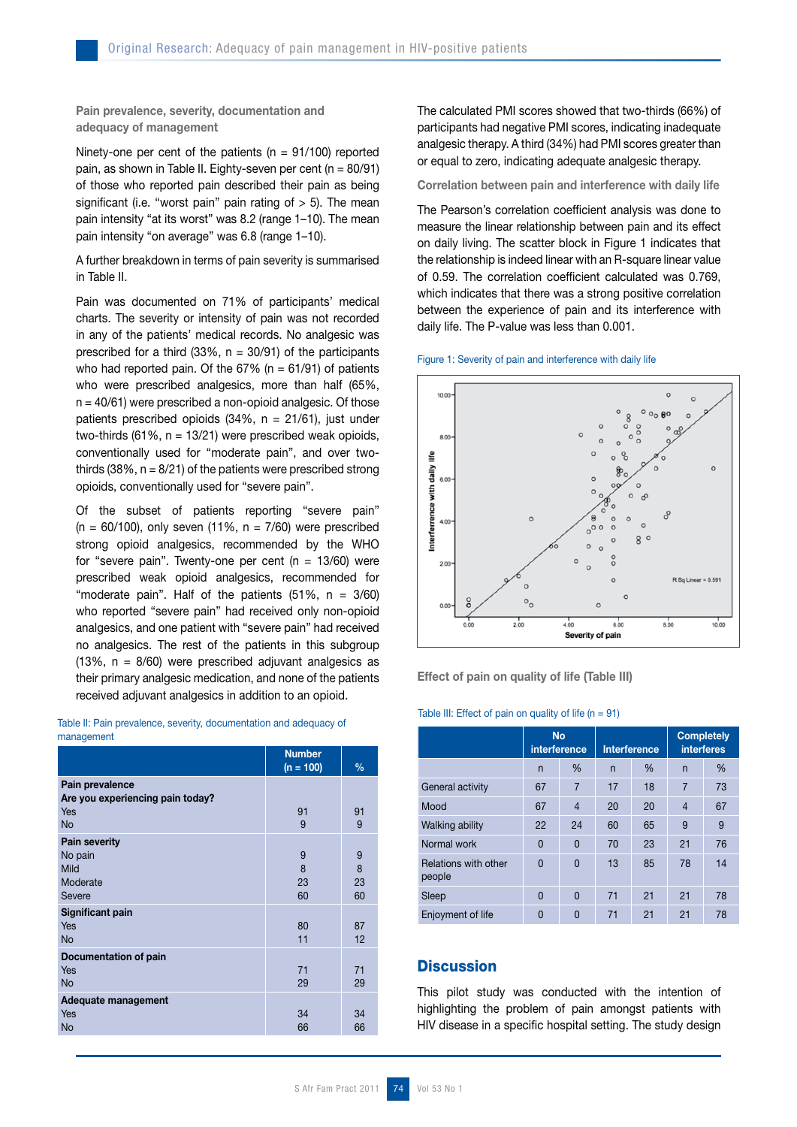Pain prevalence, severity, documentation and adequacy of management

Ninety-one per cent of the patients ( $n = 91/100$ ) reported pain, as shown in Table II. Eighty-seven per cent (n = 80/91) of those who reported pain described their pain as being significant (i.e. "worst pain" pain rating of  $> 5$ ). The mean pain intensity "at its worst" was 8.2 (range 1–10). The mean pain intensity "on average" was 6.8 (range 1–10).

A further breakdown in terms of pain severity is summarised in Table II.

Pain was documented on 71% of participants' medical charts. The severity or intensity of pain was not recorded in any of the patients' medical records. No analgesic was prescribed for a third  $(33\%, n = 30/91)$  of the participants who had reported pain. Of the  $67\%$  (n =  $61/91$ ) of patients who were prescribed analgesics, more than half (65%,  $n = 40/61$ ) were prescribed a non-opioid analgesic. Of those patients prescribed opioids  $(34\% , n = 21/61)$ , just under two-thirds  $(61\% \cdot n = 13/21)$  were prescribed weak opioids. conventionally used for "moderate pain", and over twothirds  $(38\% , n = 8/21)$  of the patients were prescribed strong opioids, conventionally used for "severe pain".

Of the subset of patients reporting "severe pain" ( $n = 60/100$ ), only seven (11%,  $n = 7/60$ ) were prescribed strong opioid analgesics, recommended by the WHO for "severe pain". Twenty-one per cent ( $n = 13/60$ ) were prescribed weak opioid analgesics, recommended for "moderate pain". Half of the patients  $(51\% \, \text{m} = 3/60)$ who reported "severe pain" had received only non-opioid analgesics, and one patient with "severe pain" had received no analgesics. The rest of the patients in this subgroup  $(13\% , n = 8/60)$  were prescribed adjuvant analgesics as their primary analgesic medication, and none of the patients received adjuvant analgesics in addition to an opioid.

Table II: Pain prevalence, severity, documentation and adequacy of management

|                                                                         | <b>Number</b><br>$(n = 100)$ | $\frac{0}{0}$      |
|-------------------------------------------------------------------------|------------------------------|--------------------|
| Pain prevalence<br>Are you experiencing pain today?<br>Yes<br><b>No</b> | 91<br>9                      | 91<br>9            |
| <b>Pain severity</b><br>No pain<br><b>Mild</b><br>Moderate<br>Severe    | 9<br>8<br>23<br>60           | 9<br>8<br>23<br>60 |
| Significant pain<br>Yes<br><b>No</b>                                    | 80<br>11                     | 87<br>12           |
| <b>Documentation of pain</b><br>Yes<br><b>No</b>                        | 71<br>29                     | 71<br>29           |
| Adequate management<br>Yes<br><b>No</b>                                 | 34<br>66                     | 34<br>66           |

The calculated PMI scores showed that two-thirds (66%) of participants had negative PMI scores, indicating inadequate analgesic therapy. A third (34%) had PMI scores greater than or equal to zero, indicating adequate analgesic therapy.

Correlation between pain and interference with daily life

The Pearson's correlation coefficient analysis was done to measure the linear relationship between pain and its effect on daily living. The scatter block in Figure 1 indicates that the relationship is indeed linear with an R-square linear value of 0.59. The correlation coefficient calculated was 0.769, which indicates that there was a strong positive correlation between the experience of pain and its interference with daily life. The P-value was less than 0.001.





Effect of pain on quality of life (Table III)

#### Table III: Effect of pain on quality of life ( $n = 91$ )

|                                | <b>No</b><br><b>interference</b> |                | Interference   |    | <b>Completely</b><br><b>interferes</b> |    |
|--------------------------------|----------------------------------|----------------|----------------|----|----------------------------------------|----|
|                                | n                                | %              | $\overline{n}$ | %  | n                                      | %  |
| General activity               | 67                               | $\overline{7}$ | 17             | 18 | $\overline{7}$                         | 73 |
| Mood                           | 67                               | $\overline{4}$ | 20             | 20 | $\overline{4}$                         | 67 |
| <b>Walking ability</b>         | 22                               | 24             | 60             | 65 | 9                                      | 9  |
| Normal work                    | $\mathbf{0}$                     | $\overline{0}$ | 70             | 23 | 21                                     | 76 |
| Relations with other<br>people | $\Omega$                         | $\overline{0}$ | 13             | 85 | 78                                     | 14 |
| Sleep                          | 0                                | $\overline{0}$ | 71             | 21 | 21                                     | 78 |
| Enjoyment of life              | $\Omega$                         | 0              | 71             | 21 | 21                                     | 78 |

# **Discussion**

This pilot study was conducted with the intention of highlighting the problem of pain amongst patients with HIV disease in a specific hospital setting. The study design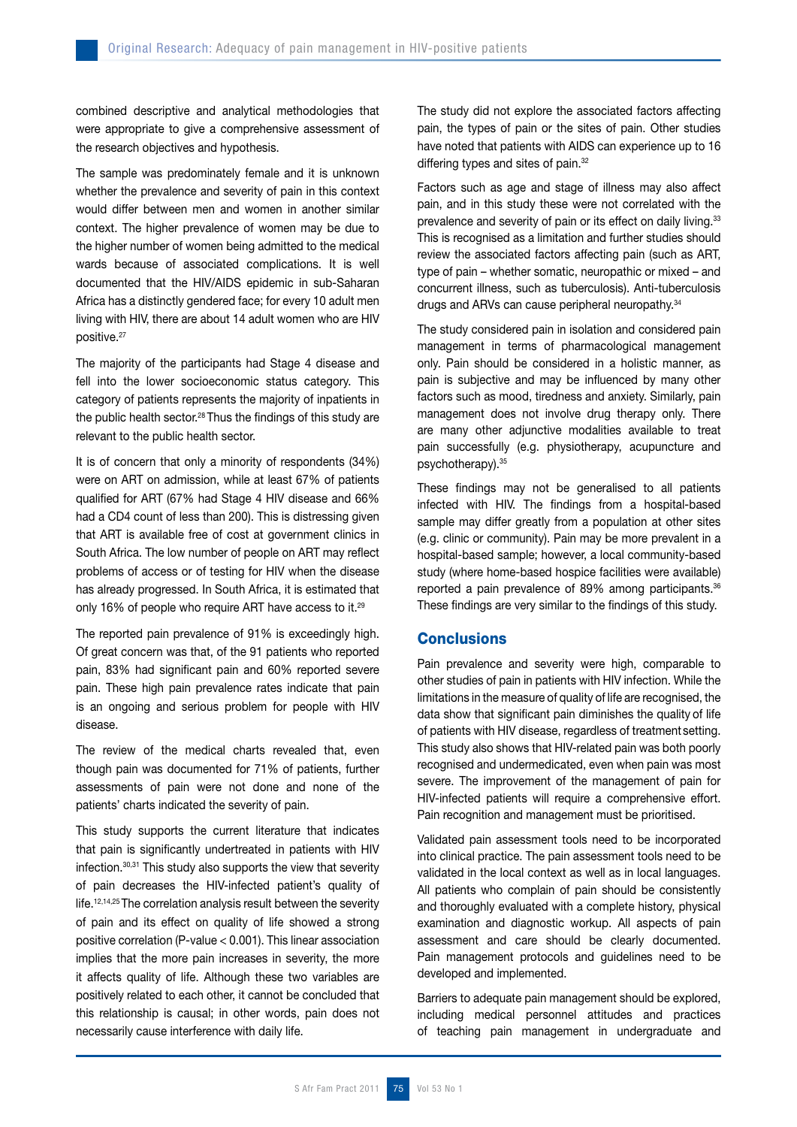combined descriptive and analytical methodologies that were appropriate to give a comprehensive assessment of the research objectives and hypothesis.

The sample was predominately female and it is unknown whether the prevalence and severity of pain in this context would differ between men and women in another similar context. The higher prevalence of women may be due to the higher number of women being admitted to the medical wards because of associated complications. It is well documented that the HIV/AIDS epidemic in sub-Saharan Africa has a distinctly gendered face; for every 10 adult men living with HIV, there are about 14 adult women who are HIV positive.27

The majority of the participants had Stage 4 disease and fell into the lower socioeconomic status category. This category of patients represents the majority of inpatients in the public health sector.<sup>28</sup> Thus the findings of this study are relevant to the public health sector.

It is of concern that only a minority of respondents (34%) were on ART on admission, while at least 67% of patients qualified for ART (67% had Stage 4 HIV disease and 66% had a CD4 count of less than 200). This is distressing given that ART is available free of cost at government clinics in South Africa. The low number of people on ART may reflect problems of access or of testing for HIV when the disease has already progressed. In South Africa, it is estimated that only 16% of people who require ART have access to it.<sup>29</sup>

The reported pain prevalence of 91% is exceedingly high. Of great concern was that, of the 91 patients who reported pain, 83% had significant pain and 60% reported severe pain. These high pain prevalence rates indicate that pain is an ongoing and serious problem for people with HIV disease.

The review of the medical charts revealed that, even though pain was documented for 71% of patients, further assessments of pain were not done and none of the patients' charts indicated the severity of pain.

This study supports the current literature that indicates that pain is significantly undertreated in patients with HIV infection.30,31 This study also supports the view that severity of pain decreases the HIV-infected patient's quality of life.12,14,25 The correlation analysis result between the severity of pain and its effect on quality of life showed a strong positive correlation (P-value < 0.001). This linear association implies that the more pain increases in severity, the more it affects quality of life. Although these two variables are positively related to each other, it cannot be concluded that this relationship is causal; in other words, pain does not necessarily cause interference with daily life.

The study did not explore the associated factors affecting pain, the types of pain or the sites of pain. Other studies have noted that patients with AIDS can experience up to 16 differing types and sites of pain.<sup>32</sup>

Factors such as age and stage of illness may also affect pain, and in this study these were not correlated with the prevalence and severity of pain or its effect on daily living.<sup>33</sup> This is recognised as a limitation and further studies should review the associated factors affecting pain (such as ART, type of pain – whether somatic, neuropathic or mixed – and concurrent illness, such as tuberculosis). Anti-tuberculosis drugs and ARVs can cause peripheral neuropathy.<sup>34</sup>

The study considered pain in isolation and considered pain management in terms of pharmacological management only. Pain should be considered in a holistic manner, as pain is subjective and may be influenced by many other factors such as mood, tiredness and anxiety. Similarly, pain management does not involve drug therapy only. There are many other adjunctive modalities available to treat pain successfully (e.g. physiotherapy, acupuncture and psychotherapy).35

These findings may not be generalised to all patients infected with HIV. The findings from a hospital-based sample may differ greatly from a population at other sites (e.g. clinic or community). Pain may be more prevalent in a hospital-based sample; however, a local community-based study (where home-based hospice facilities were available) reported a pain prevalence of 89% among participants.36 These findings are very similar to the findings of this study.

## **Conclusions**

Pain prevalence and severity were high, comparable to other studies of pain in patients with HIV infection. While the limitations in the measure of quality of life are recognised, the data show that significant pain diminishes the quality of life of patients with HIV disease, regardless of treatment setting. This study also shows that HIV-related pain was both poorly recognised and undermedicated, even when pain was most severe. The improvement of the management of pain for HIV-infected patients will require a comprehensive effort. Pain recognition and management must be prioritised.

Validated pain assessment tools need to be incorporated into clinical practice. The pain assessment tools need to be validated in the local context as well as in local languages. All patients who complain of pain should be consistently and thoroughly evaluated with a complete history, physical examination and diagnostic workup. All aspects of pain assessment and care should be clearly documented. Pain management protocols and guidelines need to be developed and implemented.

Barriers to adequate pain management should be explored, including medical personnel attitudes and practices of teaching pain management in undergraduate and